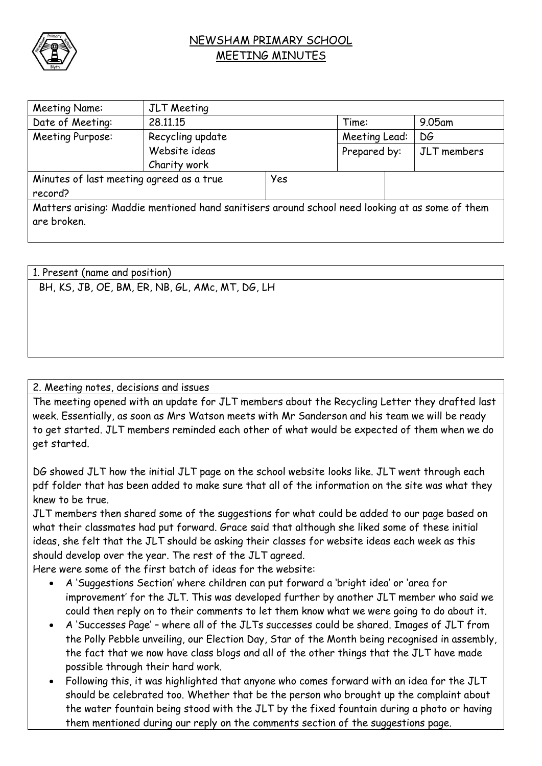

## NEWSHAM PRIMARY SCHOOL MEETING MINUTES

| Meeting Name:                                                                                   | JLT Meeting      |     |               |  |             |  |
|-------------------------------------------------------------------------------------------------|------------------|-----|---------------|--|-------------|--|
| Date of Meeting:                                                                                | 28.11.15         |     | Time:         |  | $9.05$ am   |  |
| Meeting Purpose:                                                                                | Recycling update |     | Meeting Lead: |  | DG          |  |
|                                                                                                 | Website ideas    |     | Prepared by:  |  | JLT members |  |
|                                                                                                 | Charity work     |     |               |  |             |  |
| Minutes of last meeting agreed as a true                                                        |                  | Yes |               |  |             |  |
| record?                                                                                         |                  |     |               |  |             |  |
| Matters arising: Maddie mentioned hand sanitisers around school need looking at as some of them |                  |     |               |  |             |  |
| are broken.                                                                                     |                  |     |               |  |             |  |
|                                                                                                 |                  |     |               |  |             |  |

1. Present (name and position) BH, KS, JB, OE, BM, ER, NB, GL, AMc, MT, DG, LH

## 2. Meeting notes, decisions and issues

The meeting opened with an update for JLT members about the Recycling Letter they drafted last week. Essentially, as soon as Mrs Watson meets with Mr Sanderson and his team we will be ready to get started. JLT members reminded each other of what would be expected of them when we do get started.

DG showed JLT how the initial JLT page on the school website looks like. JLT went through each pdf folder that has been added to make sure that all of the information on the site was what they knew to be true.

JLT members then shared some of the suggestions for what could be added to our page based on what their classmates had put forward. Grace said that although she liked some of these initial ideas, she felt that the JLT should be asking their classes for website ideas each week as this should develop over the year. The rest of the JLT agreed.

Here were some of the first batch of ideas for the website:

- A 'Suggestions Section' where children can put forward a 'bright idea' or 'area for improvement' for the JLT. This was developed further by another JLT member who said we could then reply on to their comments to let them know what we were going to do about it.
- A 'Successes Page' where all of the JLTs successes could be shared. Images of JLT from the Polly Pebble unveiling, our Election Day, Star of the Month being recognised in assembly, the fact that we now have class blogs and all of the other things that the JLT have made possible through their hard work.
- Following this, it was highlighted that anyone who comes forward with an idea for the JLT should be celebrated too. Whether that be the person who brought up the complaint about the water fountain being stood with the JLT by the fixed fountain during a photo or having them mentioned during our reply on the comments section of the suggestions page.